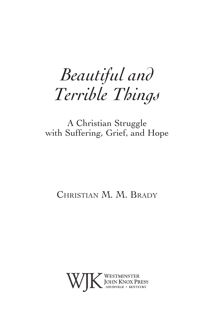# *Beautiful and Terrible Things*

A Christian Struggle with Suffering, Grief, and Hope

Christian M. M. Brady

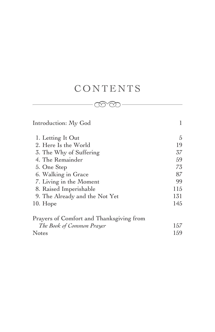# CONTENTS

# $\begin{picture}(150,10) \put(0,0){\line(1,0){10}} \put(15,0){\line(1,0){10}} \put(15,0){\line(1,0){10}} \put(15,0){\line(1,0){10}} \put(15,0){\line(1,0){10}} \put(15,0){\line(1,0){10}} \put(15,0){\line(1,0){10}} \put(15,0){\line(1,0){10}} \put(15,0){\line(1,0){10}} \put(15,0){\line(1,0){10}} \put(15,0){\line(1,0){10}} \put(15,0){\line($

| Introduction: My God                     |     |
|------------------------------------------|-----|
| 1. Letting It Out                        | 5   |
| 2. Here Is the World                     | 19  |
| 3. The Why of Suffering                  | 37  |
| 4. The Remainder                         | 59  |
| 5. One Step                              | 73  |
| 6. Walking in Grace                      | 87  |
| 7. Living in the Moment                  | 99  |
| 8. Raised Imperishable                   | 115 |
| 9. The Already and the Not Yet           | 131 |
| $10.$ Hope                               | 145 |
| Prayers of Comfort and Thanksgiving from |     |
| The Book of Common Prayer                | 157 |
| <b>Notes</b>                             | 159 |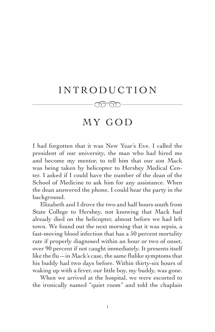## INTRODUCTION

അത

## MY GOD

I had forgotten that it was New Year's Eve. I called the president of our university, the man who had hired me and become my mentor, to tell him that our son Mack was being taken by helicopter to Hershey Medical Center. I asked if I could have the number of the dean of the School of Medicine to ask him for any assistance. When the dean answered the phone, I could hear the party in the background.

Elizabeth and I drove the two and half hours south from State College to Hershey, not knowing that Mack had already died on the helicopter, almost before we had left town. We found out the next morning that it was sepsis, a fast-moving blood infection that has a 50 percent mortality rate if properly diagnosed within an hour or two of onset, over 90 percent if not caught immediately. It presents itself like the flu—in Mack's case, the same flulike symptoms that his buddy had two days before. Within thirty-six hours of waking up with a fever, our little boy, my buddy, was gone.

When we arrived at the hospital, we were escorted to the ironically named "quiet room" and told the chaplain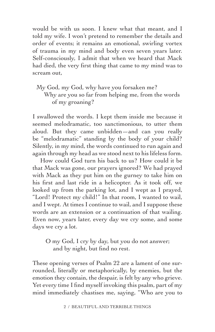would be with us soon. I knew what that meant, and I told my wife. I won't pretend to remember the details and order of events; it remains an emotional, swirling vortex of trauma in my mind and body even seven years later. Self-consciously, I admit that when we heard that Mack had died, the very first thing that came to my mind was to scream out,

#### My God, my God, why have you forsaken me? Why are you so far from helping me, from the words of my groaning?

I swallowed the words. I kept them inside me because it seemed melodramatic, too sanctimonious, to utter them aloud. But they came unbidden—and can you really be "melodramatic" standing by the body of your child? Silently, in my mind, the words continued to run again and again through my head as we stood next to his lifeless form.

How could God turn his back to us? How could it be that Mack was gone, our prayers ignored? We had prayed with Mack as they put him on the gurney to take him on his first and last ride in a helicopter. As it took off, we looked up from the parking lot, and I wept as I prayed, "Lord! Protect my child!" In that room, I wanted to wail, and I wept. At times I continue to wail, and I suppose these words are an extension or a continuation of that wailing. Even now, years later, every day we cry some, and some days we cry a lot.

#### O my God, I cry by day, but you do not answer; and by night, but find no rest.

These opening verses of Psalm 22 are a lament of one surrounded, literally or metaphorically, by enemies, but the emotion they contain, the despair, is felt by any who grieve. Yet every time I find myself invoking this psalm, part of my mind immediately chastises me, saying, "Who are you to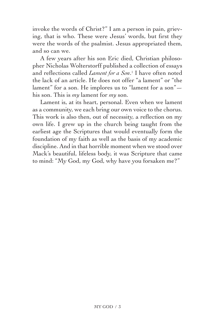invoke the words of Christ?" I am a person in pain, grieving, that is who. These were Jesus' words, but first they were the words of the psalmist. Jesus appropriated them, and so can we.

A few years after his son Eric died, Christian philosopher Nicholas Wolterstorff published a collection of essays and reflections called *Lament for a Son*. 1 I have often noted the lack of an article. He does not offer "a lament" or "the lament" for a son. He implores us to "lament for a son" his son. This is *my* lament for *my* son.

Lament is, at its heart, personal. Even when we lament as a community, we each bring our own voice to the chorus. This work is also then, out of necessity, a reflection on my own life. I grew up in the church being taught from the earliest age the Scriptures that would eventually form the foundation of my faith as well as the basis of my academic discipline. And in that horrible moment when we stood over Mack's beautiful, lifeless body, it was Scripture that came to mind: "My God, my God, why have you forsaken me?"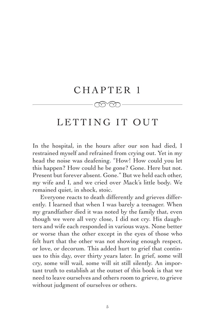## CHAPTER 1

അത

## LETTING IT OUT

In the hospital, in the hours after our son had died, I restrained myself and refrained from crying out. Yet in my head the noise was deafening. "How! How could you let this happen? How could he be gone? Gone. Here but not. Present but forever absent. Gone." But we held each other, my wife and I, and we cried over Mack's little body. We remained quiet, in shock, stoic.

Everyone reacts to death differently and grieves differently. I learned that when I was barely a teenager. When my grandfather died it was noted by the family that, even though we were all very close, I did not cry. His daughters and wife each responded in various ways. None better or worse than the other except in the eyes of those who felt hurt that the other was not showing enough respect, or love, or decorum. This added hurt to grief that continues to this day, over thirty years later. In grief, some will cry, some will wail, some will sit still silently. An important truth to establish at the outset of this book is that we need to leave ourselves and others room to grieve, to grieve without judgment of ourselves or others.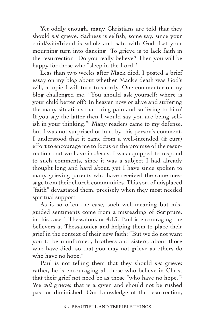Yet oddly enough, many Christians are told that they should *not* grieve. Sadness is selfish, some say, since your child/wife/friend is whole and safe with God. Let your mourning turn into dancing! To grieve is to lack faith in the resurrection! Do you really believe? Then you will be happy for those who "sleep in the Lord"!

Less than two weeks after Mack died, I posted a brief essay on my blog about whether Mack's death was God's will, a topic I will turn to shortly. One commenter on my blog challenged me. "You should ask yourself: where is your child better off? In heaven now or alive and suffering the many situations that bring pain and suffering to him? If you say the latter then I would say you are being selfish in your thinking."1 Many readers came to my defense, but I was not surprised or hurt by this person's comment. I understood that it came from a well-intended (if curt) effort to encourage me to focus on the promise of the resurrection that we have in Jesus. I was equipped to respond to such comments, since it was a subject I had already thought long and hard about, yet I have since spoken to many grieving parents who have received the same message from their church communities. This sort of misplaced "faith" devastated them, precisely when they most needed spiritual support.

As is so often the case, such well-meaning but misguided sentiments come from a misreading of Scripture, in this case 1 Thessalonians 4:13. Paul is encouraging the believers at Thessalonica and helping them to place their grief in the context of their new faith: "But we do not want you to be uninformed, brothers and sisters, about those who have died, so that you may not grieve as others do who have no hope."

Paul is not telling them that they should *not* grieve; rather, he is encouraging all those who believe in Christ that their grief not need be as those "who have no hope."2 We *will* grieve; that is a given and should not be rushed past or diminished. Our knowledge of the resurrection,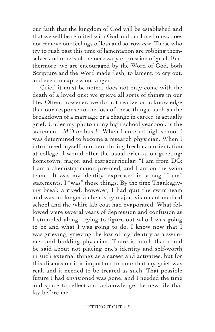our faith that the kingdom of God will be established and that we will be reunited with God and our loved ones, does not remove our feelings of loss and sorrow *now*. Those who try to rush past this time of lamentation are robbing themselves and others of the necessary expression of grief. Furthermore, we are encouraged by the Word of God, both Scripture and the Word made flesh, to lament, to cry out, and even to express our anger.

Grief, it must be noted, does not only come with the death of a loved one; we grieve all sorts of things in our life. Often, however, we do not realize or acknowledge that our response to the loss of these things, such as the breakdown of a marriage or a change in career, is actually grief. Under my photo in my high school yearbook is the statement "MD or bust!" When I entered high school I was determined to become a research physician. When I introduced myself to others during freshman orientation at college, I would offer the usual orientation greeting: hometown, major, and extracurricular: "I am from DC; I am a chemistry major, pre-med; and I am on the swim team." It was my identity, expressed in strong "I am" statements. I "was" those things. By the time Thanksgiving break arrived, however, I had quit the swim team and was no longer a chemistry major; visions of medical school and the white lab coat had evaporated. What followed were several years of depression and confusion as I stumbled along, trying to figure out who I was going to be and what I was going to do. I know now that I was grieving, grieving the loss of my identity as a swimmer and budding physician. There is much that could be said about not placing one's identity and self-worth in such external things as a career and activities, but for this discussion it is important to note that my grief was real, and it needed to be treated as such. That possible future I had envisioned was gone, and I needed the time and space to reflect and acknowledge the new life that lay before me.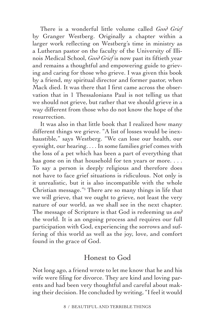There is a wonderful little volume called *Good Grief* by Granger Westberg. Originally a chapter within a larger work reflecting on Westberg's time in ministry as a Lutheran pastor on the faculty of the University of Illinois Medical School, *Good Grief* is now past its fiftieth year and remains a thoughtful and empowering guide to grieving and caring for those who grieve. I was given this book by a friend, my spiritual director and former pastor, when Mack died. It was there that I first came across the observation that in 1 Thessalonians Paul is not telling us that we should not grieve, but rather that we should grieve in a way different from those who do not know the hope of the resurrection.

It was also in that little book that I realized how many different things we grieve. "A list of losses would be inexhaustible," says Westberg. "We can lose our health, our eyesight, our hearing. . . . In some families grief comes with the loss of a pet which has been a part of everything that has gone on in that household for ten years or more.... To say a person is deeply religious and therefore does not have to face grief situations is ridiculous. Not only is it unrealistic, but it is also incompatible with the whole Christian message."3 There are so many things in life that we will grieve, that we ought to grieve, not least the very nature of our world, as we shall see in the next chapter. The message of Scripture is that God is redeeming us *and* the world. It is an ongoing process and requires our full participation with God, experiencing the sorrows and suffering of this world as well as the joy, love, and comfort found in the grace of God.

#### Honest to God

Not long ago, a friend wrote to let me know that he and his wife were filing for divorce. They are kind and loving parents and had been very thoughtful and careful about making their decision. He concluded by writing, "I feel it would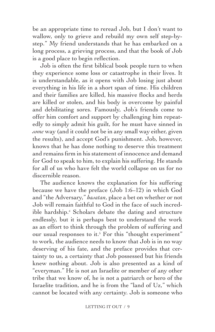be an appropriate time to reread Job, but I don't want to wallow, only to grieve and rebuild my own self step-bystep." My friend understands that he has embarked on a long process, a grieving process, and that the book of Job is a good place to begin reflection.

Job is often the first biblical book people turn to when they experience some loss or catastrophe in their lives. It is understandable, as it opens with Job losing just about everything in his life in a short span of time. His children and their families are killed, his massive flocks and herds are killed or stolen, and his body is overcome by painful and debilitating sores. Famously, Job's friends come to offer him comfort and support by challenging him repeatedly to simply admit his guilt, for he must have sinned in *some* way (and it could not be in any small way either, given the results), and accept God's punishment. Job, however, knows that he has done nothing to deserve this treatment and remains firm in his statement of innocence and demand for God to speak to him, to explain his suffering. He stands for all of us who have felt the world collapse on us for no discernible reason.

The audience knows the explanation for his suffering because we have the preface (Job 1:6–12) in which God and "the Adversary," *hasatan*, place a bet on whether or not Job will remain faithful to God in the face of such incredible hardship.4 Scholars debate the dating and structure endlessly, but it is perhaps best to understand the work as an effort to think through the problem of suffering and our usual responses to it.<sup>5</sup> For this "thought experiment" to work, the audience needs to know that Job is in no way deserving of his fate, and the preface provides that certainty to us, a certainty that Job possessed but his friends knew nothing about. Job is also presented as a kind of "everyman." He is not an Israelite or member of any other tribe that we know of, he is not a patriarch or hero of the Israelite tradition, and he is from the "land of Uz," which cannot be located with any certainty. Job is someone who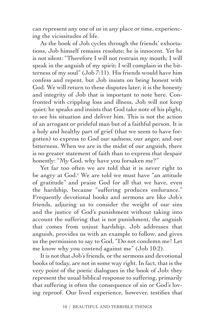can represent any one of us in any place or time, experiencing the vicissitudes of life.

As the book of Job cycles through the friends' exhortations, Job himself remains resolute; he is innocent. Yet he is not silent: "Therefore I will not restrain my mouth; I will speak in the anguish of my spirit; I will complain in the bitterness of my soul" (Job 7:11). His friends would have him confess and repent, but Job insists on being honest with God. We will return to these disputes later; it is the honesty and integrity of Job that is important to note here. Confronted with crippling loss and illness, Job will not keep quiet; he speaks and insists that God take note of his plight, to see his situation and deliver him. This is not the action of an arrogant or prideful man but of a faithful person. It is a holy and healthy part of grief (that we seem to have forgotten) to express to God our sadness, our anger, and our bitterness. When we are in the midst of our anguish, there is no greater statement of faith than to express that despair honestly: "My God, why have you forsaken me?"

Yet far too often we are told that it is never right to be angry at God.6 We are told we must have "an attitude of gratitude" and praise God for all that we have, even the hardship, because "suffering produces endurance." Frequently devotional books and sermons are like Job's friends, adjuring us to consider the weight of our sins and the justice of God's punishment without taking into account the suffering that is not punishment, the anguish that comes from unjust hardship. Job addresses that anguish, provides us with an example to follow, and gives us the permission to say to God, "Do not condemn me! Let me know why you contend against me" (Job 10:2).

It is not that Job's friends, or the sermons and devotional books of today, are not in some way right. In fact, that is the very point of the poetic dialogues in the book of Job: they represent the usual biblical response to suffering, primarily that suffering is often the consequence of sin or God's loving reproof. Our lived experience, however, testifies that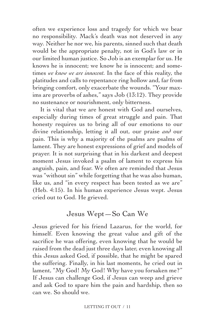often we experience loss and tragedy for which we bear no responsibility. Mack's death was not deserved in any way. Neither he nor we, his parents, sinned such that death would be the appropriate penalty, not in God's law or in our limited human justice. So Job is an exemplar for us. He knows he is innocent; we know he is innocent; and sometimes *we know we are innocent.* In the face of this reality, the platitudes and calls to repentance ring hollow and, far from bringing comfort, only exacerbate the wounds. "Your maxims are proverbs of ashes," says Job (13:12). They provide no sustenance or nourishment, only bitterness.

It is vital that we are honest with God and ourselves, especially during times of great struggle and pain. That honesty requires us to bring all of our emotions to our divine relationship, letting it all out, our praise *and* our pain. This is why a majority of the psalms are psalms of lament. They are honest expressions of grief and models of prayer. It is not surprising that in his darkest and deepest moment Jesus invoked a psalm of lament to express his anguish, pain, and fear. We often are reminded that Jesus was "without sin" while forgetting that he was also human, like us, and "in every respect has been tested as we are" (Heb. 4:15). In his human experience Jesus wept. Jesus cried out to God. He grieved.

## Jesus Wept—So Can We

Jesus grieved for his friend Lazarus, for the world, for himself. Even knowing the great value and gift of the sacrifice he was offering, even knowing that he would be raised from the dead just three days later, even knowing all this Jesus asked God, if possible, that he might be spared the suffering. Finally, in his last moments, he cried out in lament, "My God! My God! Why have you forsaken me?" If Jesus can challenge God, if Jesus can weep and grieve and ask God to spare him the pain and hardship, then so can we. So should we.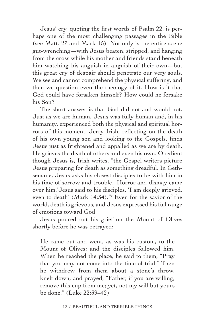Jesus' cry, quoting the first words of Psalm 22, is perhaps one of the most challenging passages in the Bible (see Matt. 27 and Mark 15). Not only is the entire scene gut-wrenching—with Jesus beaten, stripped, and hanging from the cross while his mother and friends stand beneath him watching his anguish in anguish of their own—but this great cry of despair should penetrate our very souls. We see and cannot comprehend the physical suffering, and then we question even the theology of it. How is it that God could have forsaken himself? How could he forsake his Son?

The short answer is that God did not and would not. Just as we are human, Jesus was fully human and, in his humanity, experienced both the physical and spiritual horrors of this moment. Jerry Irish, reflecting on the death of his own young son and looking to the Gospels, finds Jesus just as frightened and appalled as we are by death. He grieves the death of others and even his own. Obedient though Jesus is, Irish writes, "the Gospel writers picture Jesus preparing for death as something dreadful. In Gethsemane, Jesus asks his closest disciples to be with him in his time of sorrow and trouble. 'Horror and dismay came over him.'Jesus said to his disciples, 'I am deeply grieved, even to death' (Mark 14:34)."7 Even for the savior of the world, death is grievous, and Jesus expressed his full range of emotions toward God.

Jesus poured out his grief on the Mount of Olives shortly before he was betrayed:

He came out and went, as was his custom, to the Mount of Olives; and the disciples followed him. When he reached the place, he said to them, "Pray that you may not come into the time of trial." Then he withdrew from them about a stone's throw, knelt down, and prayed, "Father, if you are willing, remove this cup from me; yet, not my will but yours be done." (Luke 22:39–42)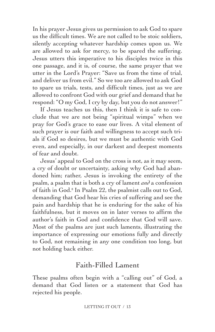In his prayer Jesus gives us permission to ask God to spare us the difficult times. We are not called to be stoic soldiers, silently accepting whatever hardship comes upon us. We are allowed to ask for mercy, to be spared the suffering. Jesus utters this imperative to his disciples twice in this one passage, and it is, of course, the same prayer that we utter in the Lord's Prayer: "Save us from the time of trial, and deliver us from evil." So we too are allowed to ask God to spare us trials, tests, and difficult times, just as we are allowed to confront God with our grief and demand that he respond: "O my God, I cry by day, but you do not answer!"

If Jesus teaches us this, then I think it is safe to conclude that we are not being "spiritual wimps" when we pray for God's grace to ease our lives. A vital element of such prayer is our faith and willingness to accept such trials if God so desires, but we must be authentic with God even, and especially, in our darkest and deepest moments of fear and doubt.

Jesus' appeal to God on the cross is not, as it may seem, a cry of doubt or uncertainty, asking why God had abandoned him; rather, Jesus is invoking the entirety of the psalm, a psalm that is both a cry of lament *and* a confession of faith in God.8 In Psalm 22, the psalmist calls out to God, demanding that God hear his cries of suffering and see the pain and hardship that he is enduring for the sake of his faithfulness, but it moves on in later verses to affirm the author's faith in God and confidence that God will save. Most of the psalms are just such laments, illustrating the importance of expressing our emotions fully and directly to God, not remaining in any one condition too long, but not holding back either.

### Faith-Filled Lament

These psalms often begin with a "calling out" of God, a demand that God listen or a statement that God has rejected his people.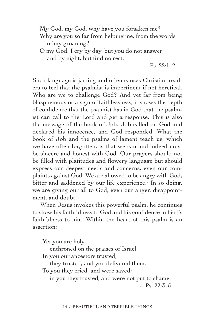- My God, my God, why have you forsaken me?
- Why are you so far from helping me, from the words of my groaning?
- O my God, I cry by day, but you do not answer; and by night, but find no rest.

 $-Ps. 22:1-2$ 

Such language is jarring and often causes Christian readers to feel that the psalmist is impertinent if not heretical. Who are we to challenge God? And yet far from being blasphemous or a sign of faithlessness, it shows the depth of confidence that the psalmist has in God that the psalmist can call to the Lord and get a response. This is also the message of the book of Job. Job called on God and declared his innocence, and God responded. What the book of Job and the psalms of lament teach us, which we have often forgotten, is that we can and indeed must be sincere and honest with God. Our prayers should not be filled with platitudes and flowery language but should express our deepest needs and concerns, even our complaints against God. We are allowed to be angry with God, bitter and saddened by our life experience.<sup>9</sup> In so doing, we are giving our all to God, even our anger, disappointment, and doubt.

When Jesus invokes this powerful psalm, he continues to show his faithfulness to God and his confidence in God's faithfulness to him. Within the heart of this psalm is an assertion:

Yet you are holy,

enthroned on the praises of Israel.

In you our ancestors trusted;

they trusted, and you delivered them.

To you they cried, and were saved;

in you they trusted, and were not put to shame.

 $-Ps. 22:3-5$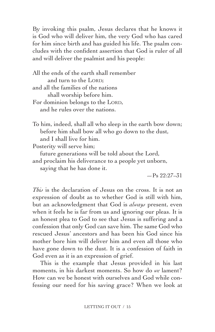By invoking this psalm, Jesus declares that he knows it is God who will deliver him, the very God who has cared for him since birth and has guided his life. The psalm concludes with the confident assertion that God is ruler of all and will deliver the psalmist and his people:

All the ends of the earth shall remember and turn to the LORD: and all the families of the nations shall worship before him. For dominion belongs to the LORD, and he rules over the nations.

To him, indeed, shall all who sleep in the earth bow down; before him shall bow all who go down to the dust, and I shall live for him.

Posterity will serve him;

future generations will be told about the Lord,

and proclaim his deliverance to a people yet unborn, saying that he has done it.

 $-Ps 22:27-31$ 

*This* is the declaration of Jesus on the cross. It is not an expression of doubt as to whether God is still with him, but an acknowledgment that God is *always* present, even when it feels he is far from us and ignoring our pleas. It is an honest plea to God to see that Jesus is suffering and a confession that only God can save him. The same God who rescued Jesus' ancestors and has been his God since his mother bore him will deliver him and even all those who have gone down to the dust. It is a confession of faith in God even as it is an expression of grief.

This is the example that Jesus provided in his last moments, in his darkest moments. So how do *we* lament? How can we be honest with ourselves and God while confessing our need for his saving grace? When we look at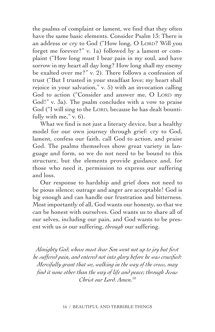the psalms of complaint or lament, we find that they often have the same basic elements. Consider Psalm 13: There is an address or cry to God ("How long, O LORD? Will you forget me forever?" v. 1a) followed by a lament or complaint ("How long must I bear pain in my soul, and have sorrow in my heart all day long? How long shall my enemy be exalted over me?" v. 2). There follows a confession of trust ("But I trusted in your steadfast love; my heart shall rejoice in your salvation," v. 5) with an invocation calling God to action ("Consider and answer me, O LORD my God!" v. 3a). The psalm concludes with a vow to praise God ("I will sing to the LORD, because he has dealt bountifully with me," v. 6).

What we find is not just a literary device, but a healthy model for our own journey through grief: cry to God, lament, confess our faith, call God to action, and praise God. The psalms themselves show great variety in language and form, so we do not need to be bound to this structure, but the elements provide guidance and, for those who need it, permission to express our suffering and loss.

Our response to hardship and grief does not need to be pious silence; outrage and anger are acceptable! God is big enough and can handle our frustration and bitterness. Most importantly of all, God wants our honesty, so that we can be honest with ourselves. God wants us to share all of our selves, including our pain, and God wants to be present with us *in* our suffering, *through* our suffering.

*Almighty God, whose most dear Son went not up to joy but first he suffered pain, and entered not into glory before he was crucified: Mercifully grant that we, walking in the way of the cross, may find it none other than the way of life and peace; through Jesus Christ our Lord. Amen.*10